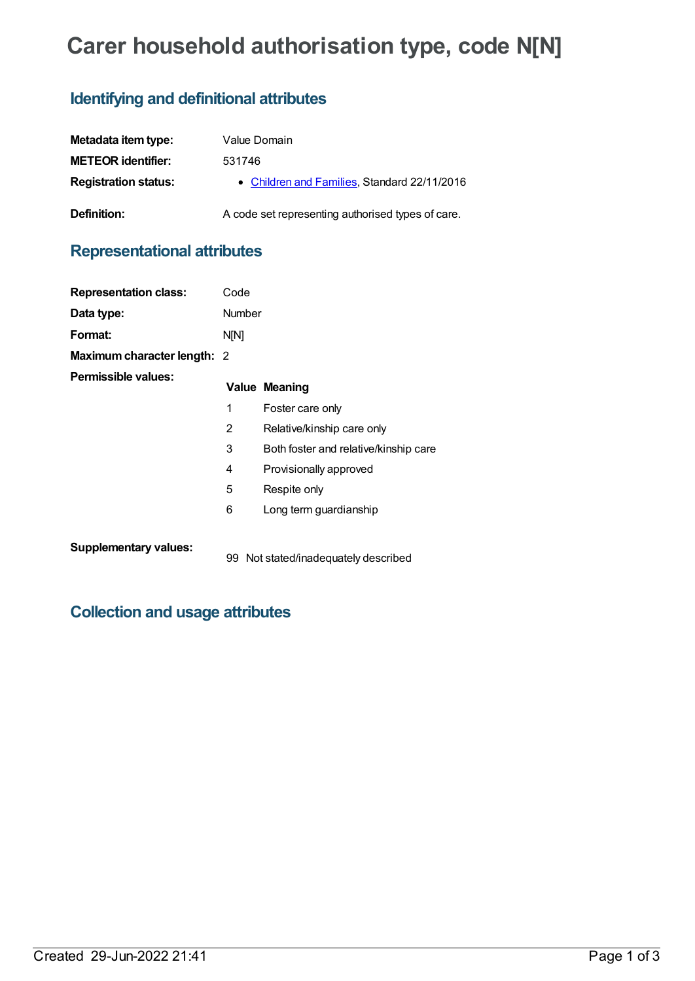# **Carer household authorisation type, code N[N]**

### **Identifying and definitional attributes**

| Metadata item type:         | Value Domain                                      |
|-----------------------------|---------------------------------------------------|
| <b>METEOR identifier:</b>   | 531746                                            |
| <b>Registration status:</b> | • Children and Families, Standard 22/11/2016      |
| Definition:                 | A code set representing authorised types of care. |

### **Representational attributes**

| <b>Representation class:</b>       | Code   |                                       |
|------------------------------------|--------|---------------------------------------|
| Data type:                         | Number |                                       |
| Format:                            | N[N]   |                                       |
| <b>Maximum character length: 2</b> |        |                                       |
| Permissible values:                |        | <b>Value Meaning</b>                  |
|                                    | 1      | Foster care only                      |
|                                    | 2      | Relative/kinship care only            |
|                                    | 3      | Both foster and relative/kinship care |
|                                    | 4      | Provisionally approved                |
|                                    | 5      | Respite only                          |
|                                    | 6      | Long term guardianship                |
|                                    |        |                                       |

**Supplementary values:**

99 Not stated/inadequately described

## **Collection and usage attributes**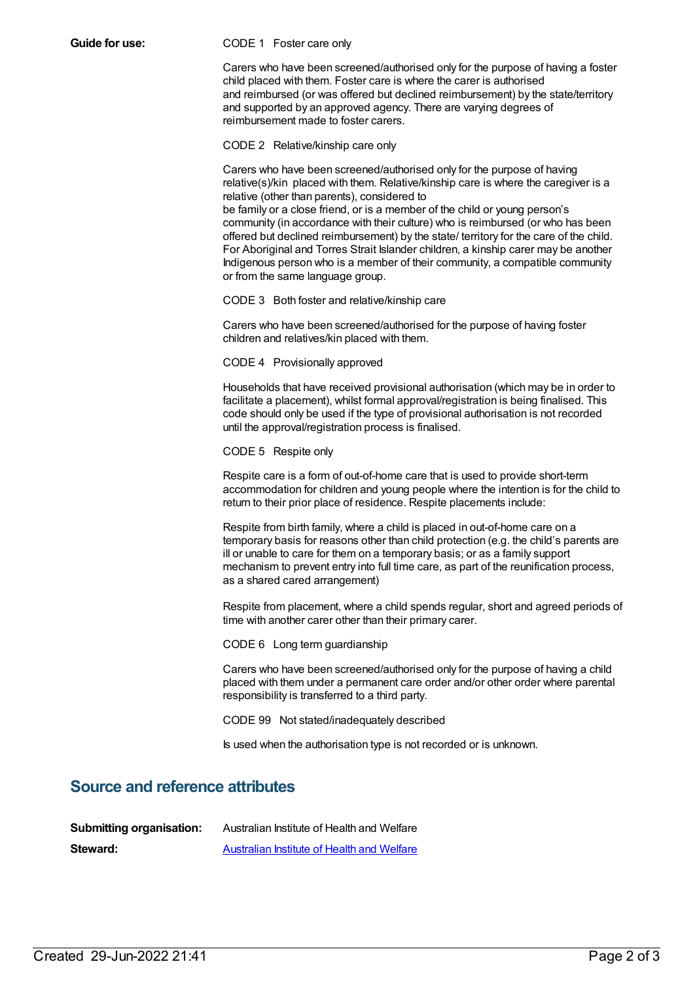#### **Guide for use:** CODE 1 Foster care only

Carers who have been screened/authorised only for the purpose of having a foster child placed with them. Foster care is where the carer is authorised and reimbursed (or was offered but declined reimbursement) by the state/territory and supported by an approved agency. There are varying degrees of reimbursement made to foster carers.

CODE 2 Relative/kinship care only

Carers who have been screened/authorised only for the purpose of having relative(s)/kin placed with them. Relative/kinship care is where the caregiver is a relative (other than parents), considered to be family or a close friend, or is a member of the child or young person's community (in accordance with their culture) who is reimbursed (or who has been offered but declined reimbursement) by the state/ territory for the care of the child. For Aboriginal and Torres Strait Islander children, a kinship carer may be another Indigenous person who is a member of their community, a compatible community or from the same language group.

CODE 3 Both foster and relative/kinship care

Carers who have been screened/authorised for the purpose of having foster children and relatives/kin placed with them.

CODE 4 Provisionally approved

Households that have received provisional authorisation (which may be in order to facilitate a placement), whilst formal approval/registration is being finalised. This code should only be used if the type of provisional authorisation is not recorded until the approval/registration process is finalised.

CODE 5 Respite only

Respite care is a form of out-of-home care that is used to provide short-term accommodation for children and young people where the intention is for the child to return to their prior place of residence. Respite placements include:

Respite from birth family, where a child is placed in out-of-home care on a temporary basis for reasons other than child protection (e.g. the child's parents are ill or unable to care for them on a temporary basis; or as a family support mechanism to prevent entry into full time care, as part of the reunification process, as a shared cared arrangement)

Respite from placement, where a child spends regular, short and agreed periods of time with another carer other than their primary carer.

CODE 6 Long term guardianship

Carers who have been screened/authorised only for the purpose of having a child placed with them under a permanent care order and/or other order where parental responsibility is transferred to a third party.

CODE 99 Not stated/inadequately described

Is used when the authorisation type is not recorded or is unknown.

#### **Source and reference attributes**

| <b>Submitting organisation:</b> | Australian Institute of Health and Welfare |
|---------------------------------|--------------------------------------------|
| Steward:                        | Australian Institute of Health and Welfare |